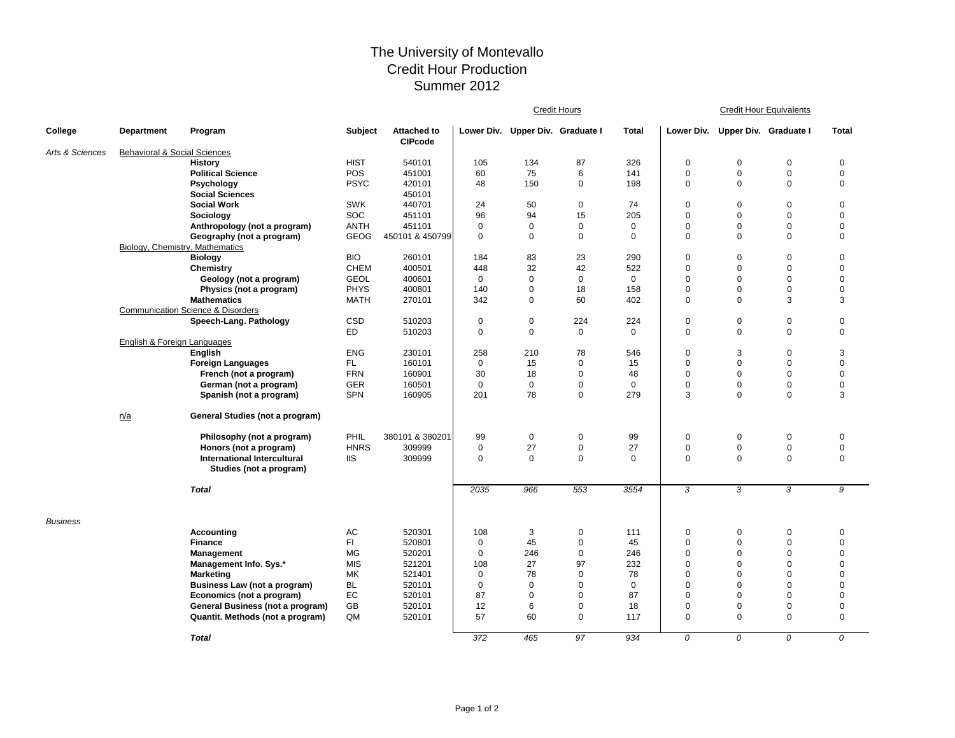## The University of Montevallo Credit Hour Production Summer 2012

|                 |                                         |                                              |             |                                      | <b>Credit Hours</b> |                                  |             |              | <b>Credit Hour Equivalents</b> |                                  |             |                     |  |
|-----------------|-----------------------------------------|----------------------------------------------|-------------|--------------------------------------|---------------------|----------------------------------|-------------|--------------|--------------------------------|----------------------------------|-------------|---------------------|--|
| College         | <b>Department</b>                       | Program                                      | Subject     | <b>Attached to</b><br><b>CIPcode</b> |                     | Lower Div. Upper Div. Graduate I |             | <b>Total</b> |                                | Lower Div. Upper Div. Graduate I |             | <b>Total</b>        |  |
| Arts & Sciences | <b>Behavioral &amp; Social Sciences</b> |                                              |             |                                      |                     |                                  |             |              |                                |                                  |             |                     |  |
|                 |                                         | <b>History</b>                               | <b>HIST</b> | 540101                               | 105                 | 134                              | 87          | 326          | $\mathbf 0$                    | $\mathbf 0$                      | $\mathbf 0$ | $\mathbf 0$         |  |
|                 |                                         | <b>Political Science</b>                     | POS         | 451001                               | 60                  | 75                               | 6           | 141          | $\mathbf 0$                    | $\mathbf 0$                      | $\mathbf 0$ | $\mathbf 0$         |  |
|                 |                                         | Psychology                                   | <b>PSYC</b> | 420101                               | 48                  | 150                              | $\mathbf 0$ | 198          | $\mathbf 0$                    | $\mathbf 0$                      | $\mathbf 0$ | $\mathbf 0$         |  |
|                 |                                         | <b>Social Sciences</b>                       |             | 450101                               |                     |                                  |             |              |                                |                                  |             |                     |  |
|                 |                                         | <b>Social Work</b>                           | <b>SWK</b>  | 440701                               | 24                  | 50                               | 0           | 74           | $\mathbf 0$                    | $\mathbf 0$                      | $\mathbf 0$ | $\mathbf 0$         |  |
|                 |                                         | Sociology                                    | <b>SOC</b>  | 451101                               | 96                  | 94                               | 15          | 205          | $\mathbf 0$                    | $\mathbf 0$                      | $\mathbf 0$ | $\mathbf 0$         |  |
|                 |                                         | Anthropology (not a program)                 | <b>ANTH</b> | 451101                               | $\mathbf 0$         | $\mathbf 0$                      | $\mathbf 0$ | $\mathbf 0$  | $\mathbf 0$                    | $\mathbf 0$                      | $\mathbf 0$ | $\pmb{0}$           |  |
|                 |                                         | Geography (not a program)                    | <b>GEOG</b> | 450101 & 450799                      | $\mathbf 0$         | $\mathbf 0$                      | $\mathbf 0$ | $\mathbf 0$  | $\mathbf 0$                    | $\Omega$                         | $\mathbf 0$ | $\mathbf 0$         |  |
|                 | Biology, Chemistry, Mathematics         |                                              |             |                                      |                     |                                  |             |              |                                |                                  |             |                     |  |
|                 |                                         | <b>Biology</b>                               | <b>BIO</b>  | 260101                               | 184                 | 83                               | 23          | 290          | $\pmb{0}$                      | 0                                | $\mathbf 0$ | $\mathbf 0$         |  |
|                 |                                         | Chemistry                                    | <b>CHEM</b> | 400501                               | 448                 | 32                               | 42          | 522          | $\mathbf 0$                    | $\Omega$                         | $\mathbf 0$ | $\mathbf 0$         |  |
|                 |                                         | Geology (not a program)                      | <b>GEOL</b> | 400601                               | $\mathbf 0$         | $\mathbf 0$                      | $\mathbf 0$ | $\Omega$     | $\mathbf 0$                    | $\Omega$                         | $\mathbf 0$ | $\mathbf 0$         |  |
|                 |                                         | Physics (not a program)                      | <b>PHYS</b> | 400801                               | 140                 | $\mathbf 0$                      | 18          | 158          | $\mathbf 0$                    | $\mathbf 0$                      | $\mathbf 0$ | $\mathbf 0$         |  |
|                 |                                         | <b>Mathematics</b>                           | <b>MATH</b> | 270101                               | 342                 | $\mathbf 0$                      | 60          | 402          | $\mathbf 0$                    | $\mathbf 0$                      | 3           | 3                   |  |
|                 |                                         | <b>Communication Science &amp; Disorders</b> |             |                                      |                     |                                  |             |              |                                |                                  |             |                     |  |
|                 |                                         | Speech-Lang. Pathology                       | <b>CSD</b>  | 510203                               | $\mathbf 0$         | $\mathbf 0$                      | 224         | 224          | $\mathbf 0$                    | $\mathbf 0$                      | $\mathbf 0$ | $\mathbf 0$         |  |
|                 |                                         |                                              | ED          | 510203                               | $\mathbf 0$         | $\mathbf 0$                      | $\mathbf 0$ | $\Omega$     | $\mathbf 0$                    | $\Omega$                         | $\mathbf 0$ | $\mathbf 0$         |  |
|                 | English & Foreign Languages             |                                              |             |                                      |                     |                                  |             |              |                                |                                  |             |                     |  |
|                 |                                         | English                                      | <b>ENG</b>  | 230101                               | 258                 | 210                              | 78          | 546          | $\mathbf 0$                    | 3                                | $\mathbf 0$ | 3                   |  |
|                 |                                         | Foreign Languages                            | FL.         | 160101                               | $\pmb{0}$           | 15                               | $\mathbf 0$ | 15           | $\mathbf 0$                    | $\mathbf 0$                      | $\mathbf 0$ | $\mathbf 0$         |  |
|                 |                                         | French (not a program)                       | <b>FRN</b>  | 160901                               | 30                  | 18                               | $\Omega$    | 48           | $\mathbf 0$                    | $\Omega$                         | $\mathbf 0$ | $\mathbf 0$         |  |
|                 |                                         | German (not a program)                       | <b>GER</b>  | 160501                               | $\mathbf 0$         | $\mathbf 0$                      | $\mathbf 0$ | $\mathbf 0$  | $\mathbf 0$                    | $\mathbf 0$                      | $\mathbf 0$ | $\pmb{0}$           |  |
|                 |                                         | Spanish (not a program)                      | <b>SPN</b>  | 160905                               | 201                 | 78                               | $\mathbf 0$ | 279          | 3                              | $\Omega$                         | $\mathbf 0$ | 3                   |  |
|                 | n/a                                     | General Studies (not a program)              |             |                                      |                     |                                  |             |              |                                |                                  |             |                     |  |
|                 |                                         | Philosophy (not a program)                   | PHIL        | 380101 & 380201                      | 99                  | $\mathbf 0$                      | 0           | 99           | $\mathbf 0$                    | 0                                | $\mathbf 0$ | $\mathbf 0$         |  |
|                 |                                         | Honors (not a program)                       | <b>HNRS</b> | 309999                               | $\mathbf 0$         | 27                               | $\pmb{0}$   | 27           | $\mathbf 0$                    | $\pmb{0}$                        | $\pmb{0}$   | $\mathsf{O}\xspace$ |  |
|                 |                                         | International Intercultural                  | <b>IIS</b>  | 309999                               | $\mathbf 0$         | $\mathbf{0}$                     | $\mathbf 0$ | $\Omega$     | $\mathbf 0$                    | $\Omega$                         | $\mathbf 0$ | $\mathbf 0$         |  |
|                 |                                         | Studies (not a program)                      |             |                                      |                     |                                  |             |              |                                |                                  |             |                     |  |
|                 |                                         | <b>Total</b>                                 |             |                                      | 2035                | 966                              | 553         | 3554         | 3                              | $\overline{3}$                   | 3           | 9                   |  |
| <b>Business</b> |                                         |                                              |             |                                      |                     |                                  |             |              |                                |                                  |             |                     |  |
|                 |                                         | <b>Accounting</b>                            | AC          | 520301                               | 108                 | 3                                | 0           | 111          | 0                              | 0                                | $\mathbf 0$ | 0                   |  |
|                 |                                         | <b>Finance</b>                               | FI.         | 520801                               | $\mathbf 0$         | 45                               | $\mathbf 0$ | 45           | $\mathbf 0$                    | $\mathbf 0$                      | $\mathbf 0$ | $\mathbf 0$         |  |
|                 |                                         | Management                                   | <b>MG</b>   | 520201                               | $\mathbf 0$         | 246                              | $\mathbf 0$ | 246          | $\mathbf 0$                    | $\Omega$                         | $\mathbf 0$ | $\mathbf 0$         |  |
|                 |                                         | Management Info. Sys.*                       | <b>MIS</b>  | 521201                               | 108                 | 27                               | 97          | 232          | $\mathbf 0$                    | $\mathbf 0$                      | $\mathbf 0$ | $\pmb{0}$           |  |
|                 |                                         | <b>Marketing</b>                             | MK          | 521401                               | $\mathbf 0$         | 78                               | $\mathbf 0$ | 78           | $\mathbf 0$                    | $\mathbf 0$                      | $\mathbf 0$ | $\mathbf 0$         |  |
|                 |                                         | <b>Business Law (not a program)</b>          | <b>BL</b>   | 520101                               | $\mathbf 0$         | $\mathbf 0$                      | $\mathbf 0$ | 0            | $\mathbf 0$                    | 0                                | $\mathbf 0$ | $\mathbf 0$         |  |
|                 |                                         | Economics (not a program)                    | EC          | 520101                               | 87                  | $\mathbf 0$                      | $\mathbf 0$ | 87           | $\mathbf 0$                    | $\Omega$                         | $\mathbf 0$ | $\mathbf 0$         |  |
|                 |                                         | General Business (not a program)             | GB          | 520101                               | 12                  | 6                                | $\mathbf 0$ | 18           | $\mathbf 0$                    | $\mathbf 0$                      | $\mathbf 0$ | $\mathbf 0$         |  |
|                 |                                         | Quantit. Methods (not a program)             | QM          | 520101                               | 57                  | 60                               | $\mathbf 0$ | 117          | $\mathbf 0$                    | $\Omega$                         | $\mathbf 0$ | $\mathbf 0$         |  |
|                 |                                         | <b>Total</b>                                 |             |                                      | 372                 | 465                              | 97          | 934          | 0                              | 0                                | 0           | 0                   |  |